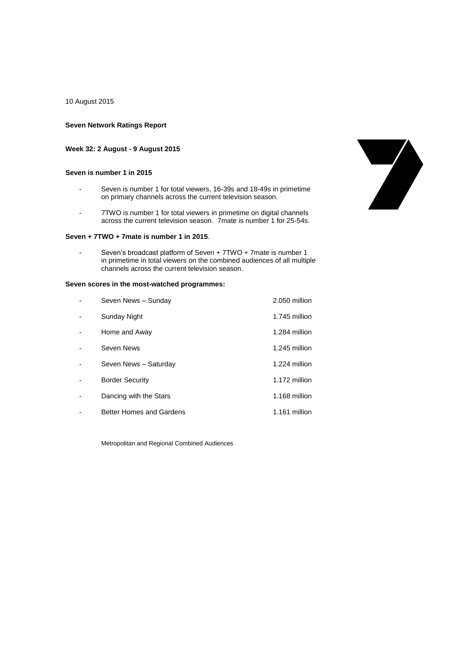10 August 2015

### **Seven Network Ratings Report**

### **Week 32: 2 August - 9 August 2015**

### **Seven is number 1 in 2015**

- Seven is number 1 for total viewers, 16-39s and 18-49s in primetime on primary channels across the current television season.
- 7TWO is number 1 for total viewers in primetime on digital channels across the current television season. 7mate is number 1 for 25-54s.

## **Seven + 7TWO + 7mate is number 1 in 2015**.

Seven's broadcast platform of Seven + 7TWO + 7mate is number 1 in primetime in total viewers on the combined audiences of all multiple channels across the current television season.

### **Seven scores in the most-watched programmes:**

| Seven News - Sunday      | 2.050 million |
|--------------------------|---------------|
| Sunday Night             | 1.745 million |
| Home and Away            | 1.284 million |
| Seven News               | 1.245 million |
| Seven News - Saturday    | 1.224 million |
| <b>Border Security</b>   | 1.172 million |
| Dancing with the Stars   | 1.168 million |
| Better Homes and Gardens | 1.161 million |

Metropolitan and Regional Combined Audiences

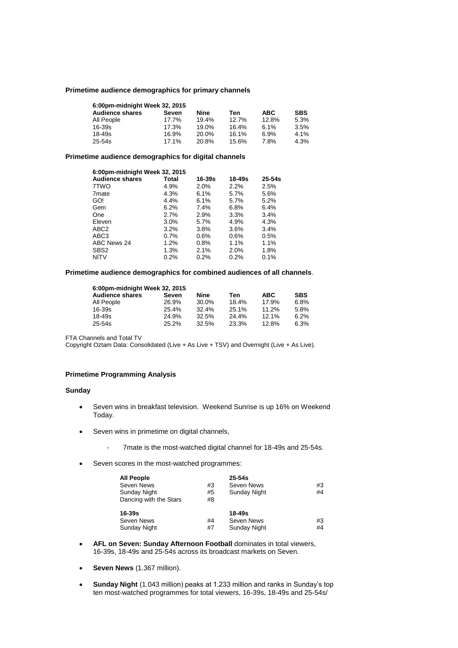### **Primetime audience demographics for primary channels**

| 6:00pm-midnight Week 32, 2015 |          |       |       |            |            |  |
|-------------------------------|----------|-------|-------|------------|------------|--|
| <b>Audience shares</b>        | Seven    | Nine  | Ten   | <b>ABC</b> | <b>SBS</b> |  |
| All People                    | 17.7%    | 19.4% | 12.7% | 12.8%      | 5.3%       |  |
| $16 - 39s$                    | 17.3%    | 19.0% | 16.4% | 6.1%       | 3.5%       |  |
| $18 - 49s$                    | 16.9%    | 20.0% | 16.1% | 6.9%       | 4.1%       |  |
| $25 - 54s$                    | $17.1\%$ | 20.8% | 15.6% | 7.8%       | 4.3%       |  |

### **Primetime audience demographics for digital channels**

| 6:00pm-midnight Week 32, 2015 |         |        |        |            |  |
|-------------------------------|---------|--------|--------|------------|--|
| <b>Audience shares</b>        | Total   | 16-39s | 18-49s | $25 - 54s$ |  |
| 7TWO                          | 4.9%    | 2.0%   | 2.2%   | 2.5%       |  |
| 7 <sub>mate</sub>             | 4.3%    | 6.1%   | 5.7%   | 5.6%       |  |
| GO!                           | 4.4%    | 6.1%   | 5.7%   | 5.2%       |  |
| Gem                           | $6.2\%$ | 7.4%   | 6.8%   | 6.4%       |  |
| One                           | 2.7%    | 2.9%   | 3.3%   | 3.4%       |  |
| Eleven                        | 3.0%    | 5.7%   | 4.9%   | 4.3%       |  |
| ABC <sub>2</sub>              | 3.2%    | 3.8%   | 3.6%   | 3.4%       |  |
| ABC3                          | 0.7%    | 0.6%   | 0.6%   | 0.5%       |  |
| ABC News 24                   | 1.2%    | 0.8%   | 1.1%   | 1.1%       |  |
| SBS <sub>2</sub>              | 1.3%    | 2.1%   | 2.0%   | 1.8%       |  |
| <b>NITV</b>                   | 0.2%    | 0.2%   | 0.2%   | 0.1%       |  |

## **Primetime audience demographics for combined audiences of all channels**.

| 6:00pm-midnight Week 32, 2015 |       |       |       |            |            |  |
|-------------------------------|-------|-------|-------|------------|------------|--|
| <b>Audience shares</b>        | Seven | Nine  | Ten   | <b>ABC</b> | <b>SBS</b> |  |
| All People                    | 26.9% | 30.0% | 18.4% | 17.9%      | 6.8%       |  |
| 16-39s                        | 25.4% | 32.4% | 25.1% | 11.2%      | 5.8%       |  |
| 18-49s                        | 24.9% | 32.5% | 24.4% | 12.1%      | 6.2%       |  |
| 25-54s                        | 25.2% | 32.5% | 23.3% | 12.8%      | 6.3%       |  |

FTA Channels and Total TV

Copyright Oztam Data: Consolidated (Live + As Live + TSV) and Overnight (Live + As Live).

# **Primetime Programming Analysis**

### **Sunday**

- Seven wins in breakfast television. Weekend Sunrise is up 16% on Weekend Today.
- Seven wins in primetime on digital channels,
	- 7mate is the most-watched digital channel for 18-49s and 25-54s.
- Seven scores in the most-watched programmes:

| <b>All People</b><br>Seven News<br>Sunday Night<br>Dancing with the Stars | #3<br>#5<br>#8 | $25 - 54s$<br>Seven News<br>Sunday Night | #3<br>#4 |
|---------------------------------------------------------------------------|----------------|------------------------------------------|----------|
| $16 - 39s$<br>Seven News<br><b>Sunday Night</b>                           | #4<br>#7       | 18-49s<br>Seven News<br>Sunday Night     | #3<br>#4 |

- **AFL on Seven: Sunday Afternoon Football** dominates in total viewers, 16-39s, 18-49s and 25-54s across its broadcast markets on Seven.
- **Seven News** (1.367 million).
- **Sunday Night** (1.043 million) peaks at 1.233 million and ranks in Sunday's top ten most-watched programmes for total viewers, 16-39s, 18-49s and 25-54s/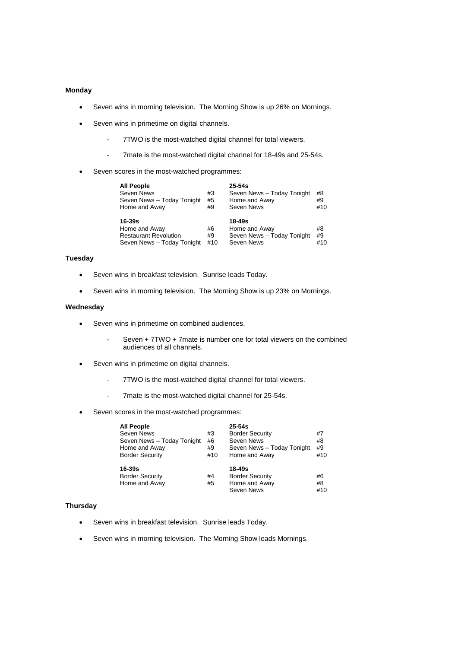### **Monday**

- Seven wins in morning television. The Morning Show is up 26% on Mornings.
- Seven wins in primetime on digital channels.
	- 7TWO is the most-watched digital channel for total viewers.
	- 7mate is the most-watched digital channel for 18-49s and 25-54s.
- Seven scores in the most-watched programmes:

| <b>All People</b><br>Seven News<br>Seven News - Today Tonight<br>Home and Away        | #3<br>#5<br>#9  | $25 - 54s$<br>Seven News - Today Tonight<br>Home and Away<br>Seven News | #8<br>#9<br>#10 |
|---------------------------------------------------------------------------------------|-----------------|-------------------------------------------------------------------------|-----------------|
| 16-39s<br>Home and Away<br><b>Restaurant Revolution</b><br>Seven News - Today Tonight | #6<br>#9<br>#10 | $18 - 49s$<br>Home and Away<br>Seven News - Today Tonight<br>Seven News | #8<br>#9<br>#10 |

# **Tuesday**

- Seven wins in breakfast television. Sunrise leads Today.
- Seven wins in morning television. The Morning Show is up 23% on Mornings.

### **Wednesday**

- Seven wins in primetime on combined audiences.
	- Seven + 7TWO + 7mate is number one for total viewers on the combined audiences of all channels.
- Seven wins in primetime on digital channels.
	- 7TWO is the most-watched digital channel for total viewers.
	- 7mate is the most-watched digital channel for 25-54s.
- Seven scores in the most-watched programmes:

| <b>All People</b><br><b>Seven News</b><br>Seven News - Today Tonight | #3<br>#6  | $25 - 54s$<br><b>Border Security</b><br>Seven News | #7<br>#8  |
|----------------------------------------------------------------------|-----------|----------------------------------------------------|-----------|
| Home and Away<br><b>Border Security</b>                              | #9<br>#10 | Seven News - Today Tonight<br>Home and Away        | #9<br>#10 |
| 16-39s                                                               |           | 18-49s                                             |           |
| <b>Border Security</b>                                               | #4        | <b>Border Security</b>                             | #6        |
| Home and Away                                                        | #5        | Home and Away                                      | #8        |
|                                                                      |           | Seven News                                         | #10       |

### **Thursday**

- Seven wins in breakfast television. Sunrise leads Today.
- Seven wins in morning television. The Morning Show leads Mornings.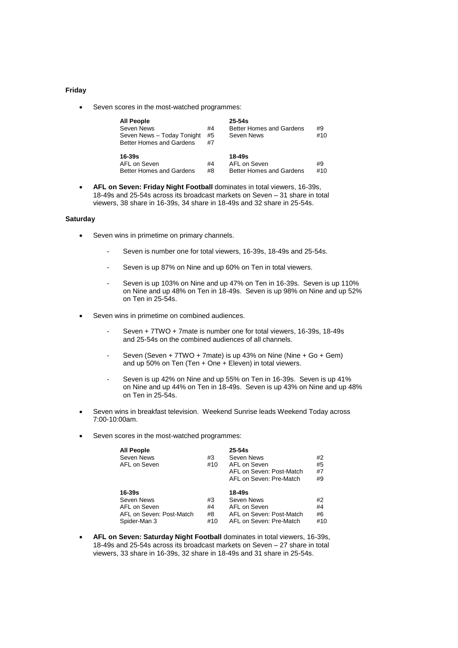#### **Friday**

• Seven scores in the most-watched programmes:

| <b>All People</b><br>Seven News<br>Seven News - Today Tonight<br>Better Homes and Gardens | #4<br>#5<br>#7 | $25 - 54s$<br><b>Better Homes and Gardens</b><br>Seven News | #9<br>#10 |
|-------------------------------------------------------------------------------------------|----------------|-------------------------------------------------------------|-----------|
| $16 - 39s$<br>AFL on Seven<br>Better Homes and Gardens                                    | #4<br>#8       | $18 - 49s$<br>AFL on Seven<br>Better Homes and Gardens      | #9<br>#10 |

 **AFL on Seven: Friday Night Football** dominates in total viewers, 16-39s, 18-49s and 25-54s across its broadcast markets on Seven – 31 share in total viewers, 38 share in 16-39s, 34 share in 18-49s and 32 share in 25-54s.

#### **Saturday**

- Seven wins in primetime on primary channels.
	- Seven is number one for total viewers, 16-39s, 18-49s and 25-54s.
	- Seven is up 87% on Nine and up 60% on Ten in total viewers.
	- Seven is up 103% on Nine and up 47% on Ten in 16-39s. Seven is up 110% on Nine and up 48% on Ten in 18-49s. Seven is up 98% on Nine and up 52% on Ten in 25-54s.
- Seven wins in primetime on combined audiences.
	- Seven + 7TWO + 7mate is number one for total viewers, 16-39s, 18-49s and 25-54s on the combined audiences of all channels.
	- Seven (Seven + 7TWO + 7mate) is up 43% on Nine (Nine + Go + Gem) and up 50% on Ten (Ten + One + Eleven) in total viewers.
	- Seven is up 42% on Nine and up 55% on Ten in 16-39s. Seven is up 41% on Nine and up 44% on Ten in 18-49s. Seven is up 43% on Nine and up 48% on Ten in 25-54s.
- Seven wins in breakfast television. Weekend Sunrise leads Weekend Today across 7:00-10:00am.
- Seven scores in the most-watched programmes:

| <b>All People</b><br>Seven News<br>AFL on Seven                                  | #3<br>#10             | $25-54s$<br>Seven News<br>AFL on Seven<br>AFL on Seven: Post-Match<br>AFL on Seven: Pre-Match | #2<br>#5<br>#7<br>#9  |
|----------------------------------------------------------------------------------|-----------------------|-----------------------------------------------------------------------------------------------|-----------------------|
| 16-39s<br>Seven News<br>AFL on Seven<br>AFL on Seven: Post-Match<br>Spider-Man 3 | #3<br>#4<br>#8<br>#10 | 18-49s<br>Seven News<br>AFL on Seven<br>AFL on Seven: Post-Match<br>AFL on Seven: Pre-Match   | #2<br>#4<br>#6<br>#10 |

 **AFL on Seven: Saturday Night Football** dominates in total viewers, 16-39s, 18-49s and 25-54s across its broadcast markets on Seven – 27 share in total viewers, 33 share in 16-39s, 32 share in 18-49s and 31 share in 25-54s.